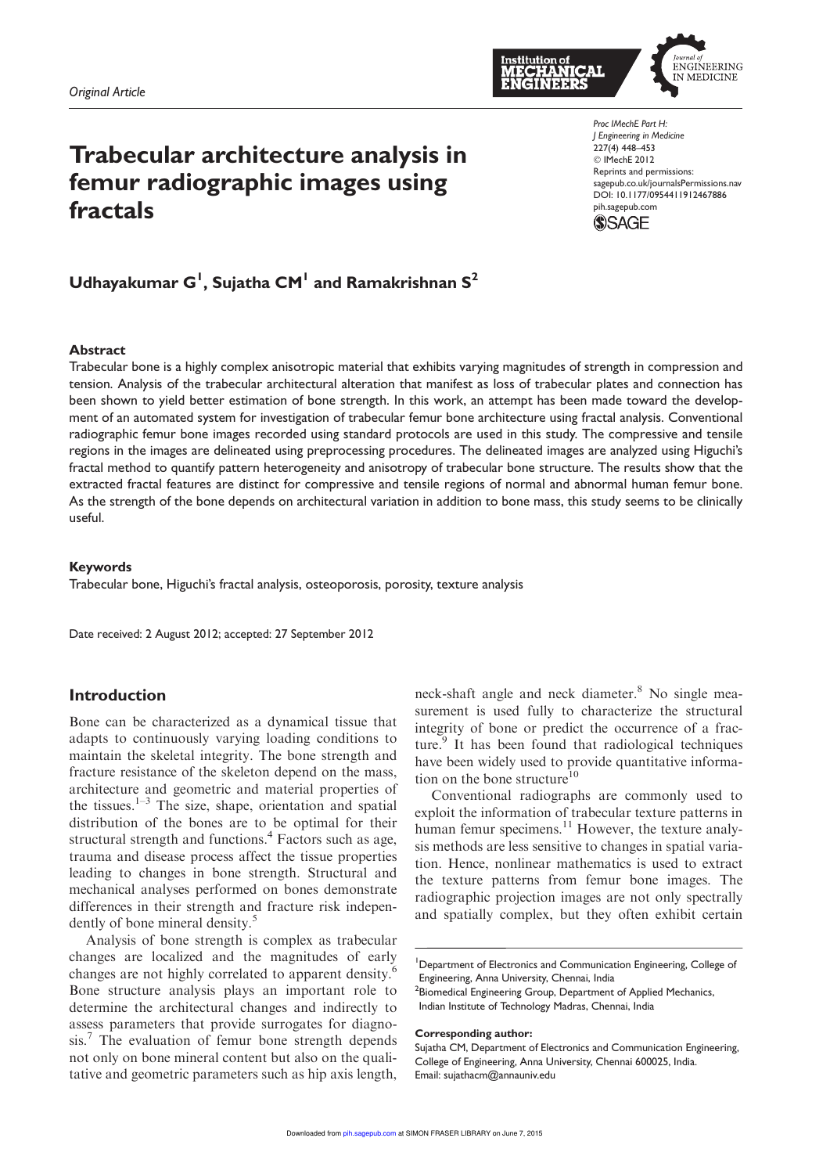

# ENGINEERING IN MEDICINE

## Trabecular architecture analysis in femur radiographic images using fractals

*Proc IMechE Part H: J Engineering in Medicine* 227(4) 448–453 © IMechE 2012 Reprints and permissions: sagepub.co.uk/journalsPermissions.nav DOI: 10.1177/0954411912467886 pih.sagepub.com



### Udhayakumar G<sup>1</sup>, Sujatha CM<sup>1</sup> and Ramakrishnan S<sup>2</sup>

#### Abstract

Trabecular bone is a highly complex anisotropic material that exhibits varying magnitudes of strength in compression and tension. Analysis of the trabecular architectural alteration that manifest as loss of trabecular plates and connection has been shown to yield better estimation of bone strength. In this work, an attempt has been made toward the development of an automated system for investigation of trabecular femur bone architecture using fractal analysis. Conventional radiographic femur bone images recorded using standard protocols are used in this study. The compressive and tensile regions in the images are delineated using preprocessing procedures. The delineated images are analyzed using Higuchi's fractal method to quantify pattern heterogeneity and anisotropy of trabecular bone structure. The results show that the extracted fractal features are distinct for compressive and tensile regions of normal and abnormal human femur bone. As the strength of the bone depends on architectural variation in addition to bone mass, this study seems to be clinically useful.

#### Keywords

Trabecular bone, Higuchi's fractal analysis, osteoporosis, porosity, texture analysis

Date received: 2 August 2012; accepted: 27 September 2012

#### Introduction

Bone can be characterized as a dynamical tissue that adapts to continuously varying loading conditions to maintain the skeletal integrity. The bone strength and fracture resistance of the skeleton depend on the mass, architecture and geometric and material properties of the tissues. $1-3$  The size, shape, orientation and spatial distribution of the bones are to be optimal for their structural strength and functions.<sup>4</sup> Factors such as age, trauma and disease process affect the tissue properties leading to changes in bone strength. Structural and mechanical analyses performed on bones demonstrate differences in their strength and fracture risk independently of bone mineral density.<sup>5</sup>

Analysis of bone strength is complex as trabecular changes are localized and the magnitudes of early changes are not highly correlated to apparent density.<sup>6</sup> Bone structure analysis plays an important role to determine the architectural changes and indirectly to assess parameters that provide surrogates for diagnosis.<sup>7</sup> The evaluation of femur bone strength depends not only on bone mineral content but also on the qualitative and geometric parameters such as hip axis length,

neck-shaft angle and neck diameter.<sup>8</sup> No single measurement is used fully to characterize the structural integrity of bone or predict the occurrence of a fracture.<sup>9</sup> It has been found that radiological techniques have been widely used to provide quantitative information on the bone structure<sup>10</sup>

Conventional radiographs are commonly used to exploit the information of trabecular texture patterns in human femur specimens.<sup>11</sup> However, the texture analysis methods are less sensitive to changes in spatial variation. Hence, nonlinear mathematics is used to extract the texture patterns from femur bone images. The radiographic projection images are not only spectrally and spatially complex, but they often exhibit certain

<sup>1</sup>Department of Electronics and Communication Engineering, College of Engineering, Anna University, Chennai, India

 $^2$ Biomedical Engineering Group, Department of Applied Mechanics, Indian Institute of Technology Madras, Chennai, India

#### Corresponding author:

Sujatha CM, Department of Electronics and Communication Engineering, College of Engineering, Anna University, Chennai 600025, India. Email: sujathacm@annauniv.edu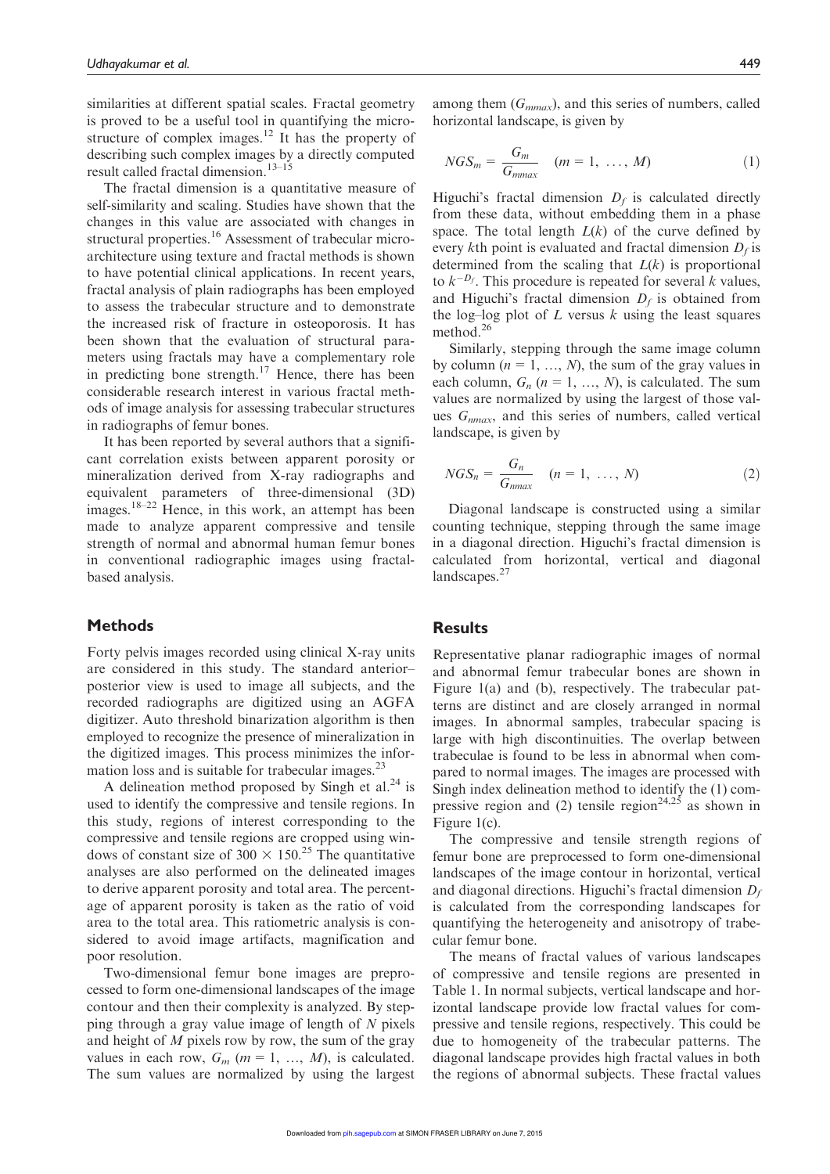similarities at different spatial scales. Fractal geometry is proved to be a useful tool in quantifying the microstructure of complex images.<sup>12</sup> It has the property of describing such complex images by a directly computed result called fractal dimension.13–15

The fractal dimension is a quantitative measure of self-similarity and scaling. Studies have shown that the changes in this value are associated with changes in structural properties.<sup>16</sup> Assessment of trabecular microarchitecture using texture and fractal methods is shown to have potential clinical applications. In recent years, fractal analysis of plain radiographs has been employed to assess the trabecular structure and to demonstrate the increased risk of fracture in osteoporosis. It has been shown that the evaluation of structural parameters using fractals may have a complementary role in predicting bone strength. $17$  Hence, there has been considerable research interest in various fractal methods of image analysis for assessing trabecular structures in radiographs of femur bones.

It has been reported by several authors that a significant correlation exists between apparent porosity or mineralization derived from X-ray radiographs and equivalent parameters of three-dimensional (3D) images.<sup>18–22</sup> Hence, in this work, an attempt has been made to analyze apparent compressive and tensile strength of normal and abnormal human femur bones in conventional radiographic images using fractalbased analysis.

#### Methods

Forty pelvis images recorded using clinical X-ray units are considered in this study. The standard anterior– posterior view is used to image all subjects, and the recorded radiographs are digitized using an AGFA digitizer. Auto threshold binarization algorithm is then employed to recognize the presence of mineralization in the digitized images. This process minimizes the information loss and is suitable for trabecular images. $^{23}$ 

A delineation method proposed by Singh et al.<sup>24</sup> is used to identify the compressive and tensile regions. In this study, regions of interest corresponding to the compressive and tensile regions are cropped using windows of constant size of 300  $\times$  150.<sup>25</sup> The quantitative analyses are also performed on the delineated images to derive apparent porosity and total area. The percentage of apparent porosity is taken as the ratio of void area to the total area. This ratiometric analysis is considered to avoid image artifacts, magnification and poor resolution.

Two-dimensional femur bone images are preprocessed to form one-dimensional landscapes of the image contour and then their complexity is analyzed. By stepping through a gray value image of length of N pixels and height of  $M$  pixels row by row, the sum of the gray values in each row,  $G_m$  ( $m = 1, ..., M$ ), is calculated. The sum values are normalized by using the largest among them  $(G_{mmax})$ , and this series of numbers, called horizontal landscape, is given by

$$
NGS_m = \frac{G_m}{G_{mnax}} \quad (m = 1, \ldots, M)
$$
 (1)

Higuchi's fractal dimension  $D_f$  is calculated directly from these data, without embedding them in a phase space. The total length  $L(k)$  of the curve defined by every kth point is evaluated and fractal dimension  $D_f$  is determined from the scaling that  $L(k)$  is proportional to  $k^{-D_f}$ . This procedure is repeated for several k values, and Higuchi's fractal dimension  $D_f$  is obtained from the log–log plot of  $L$  versus  $k$  using the least squares method.<sup>26</sup>

Similarly, stepping through the same image column by column  $(n = 1, ..., N)$ , the sum of the gray values in each column,  $G_n$  ( $n = 1, ..., N$ ), is calculated. The sum values are normalized by using the largest of those values  $G<sub>nnax</sub>$ , and this series of numbers, called vertical landscape, is given by

$$
NGS_n = \frac{G_n}{G_{nmax}} \quad (n = 1, \ldots, N)
$$
 (2)

Diagonal landscape is constructed using a similar counting technique, stepping through the same image in a diagonal direction. Higuchi's fractal dimension is calculated from horizontal, vertical and diagonal landscapes.<sup>27</sup>

#### **Results**

Representative planar radiographic images of normal and abnormal femur trabecular bones are shown in Figure 1(a) and (b), respectively. The trabecular patterns are distinct and are closely arranged in normal images. In abnormal samples, trabecular spacing is large with high discontinuities. The overlap between trabeculae is found to be less in abnormal when compared to normal images. The images are processed with Singh index delineation method to identify the (1) compressive region and (2) tensile region<sup>24,25</sup> as shown in Figure 1(c).

The compressive and tensile strength regions of femur bone are preprocessed to form one-dimensional landscapes of the image contour in horizontal, vertical and diagonal directions. Higuchi's fractal dimension  $D_f$ is calculated from the corresponding landscapes for quantifying the heterogeneity and anisotropy of trabecular femur bone.

The means of fractal values of various landscapes of compressive and tensile regions are presented in Table 1. In normal subjects, vertical landscape and horizontal landscape provide low fractal values for compressive and tensile regions, respectively. This could be due to homogeneity of the trabecular patterns. The diagonal landscape provides high fractal values in both the regions of abnormal subjects. These fractal values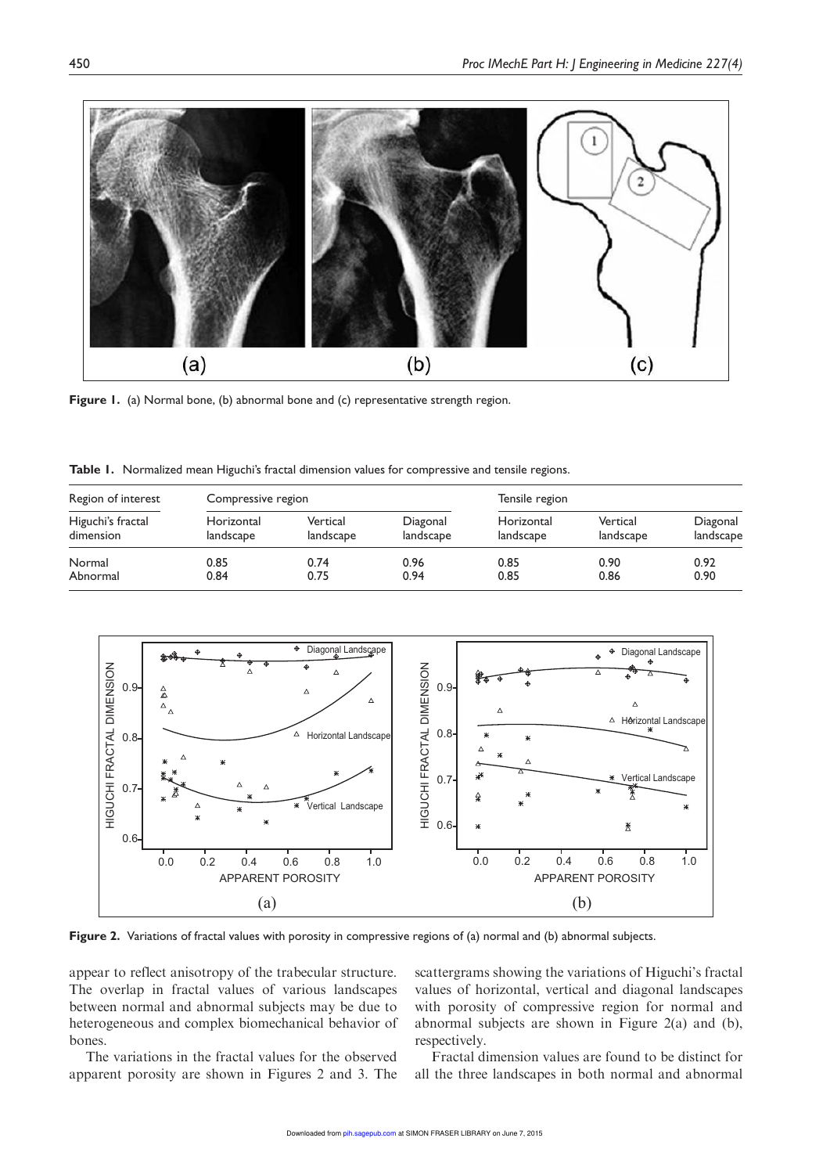

Figure 1. (a) Normal bone, (b) abnormal bone and (c) representative strength region.

|  |  |  |  | Table 1. Normalized mean Higuchi's fractal dimension values for compressive and tensile regions. |  |  |
|--|--|--|--|--------------------------------------------------------------------------------------------------|--|--|
|  |  |  |  |                                                                                                  |  |  |

| Region of interest | Compressive region |           |           | Tensile region |           |           |  |
|--------------------|--------------------|-----------|-----------|----------------|-----------|-----------|--|
| Higuchi's fractal  | Horizontal         | Vertical  | Diagonal  | Horizontal     | Vertical  | Diagonal  |  |
| dimension          | landscape          | landscape | landscape | landscape      | landscape | landscape |  |
| Normal             | 0.85               | 0.74      | 0.96      | 0.85           | 0.90      | 0.92      |  |
| Abnormal           | 0.84               | 0.75      | 0.94      | 0.85           | 0.86      | 0.90      |  |



Figure 2. Variations of fractal values with porosity in compressive regions of (a) normal and (b) abnormal subjects.

appear to reflect anisotropy of the trabecular structure. The overlap in fractal values of various landscapes between normal and abnormal subjects may be due to heterogeneous and complex biomechanical behavior of bones.

The variations in the fractal values for the observed apparent porosity are shown in Figures 2 and 3. The

scattergrams showing the variations of Higuchi's fractal values of horizontal, vertical and diagonal landscapes with porosity of compressive region for normal and abnormal subjects are shown in Figure 2(a) and (b), respectively.

Fractal dimension values are found to be distinct for all the three landscapes in both normal and abnormal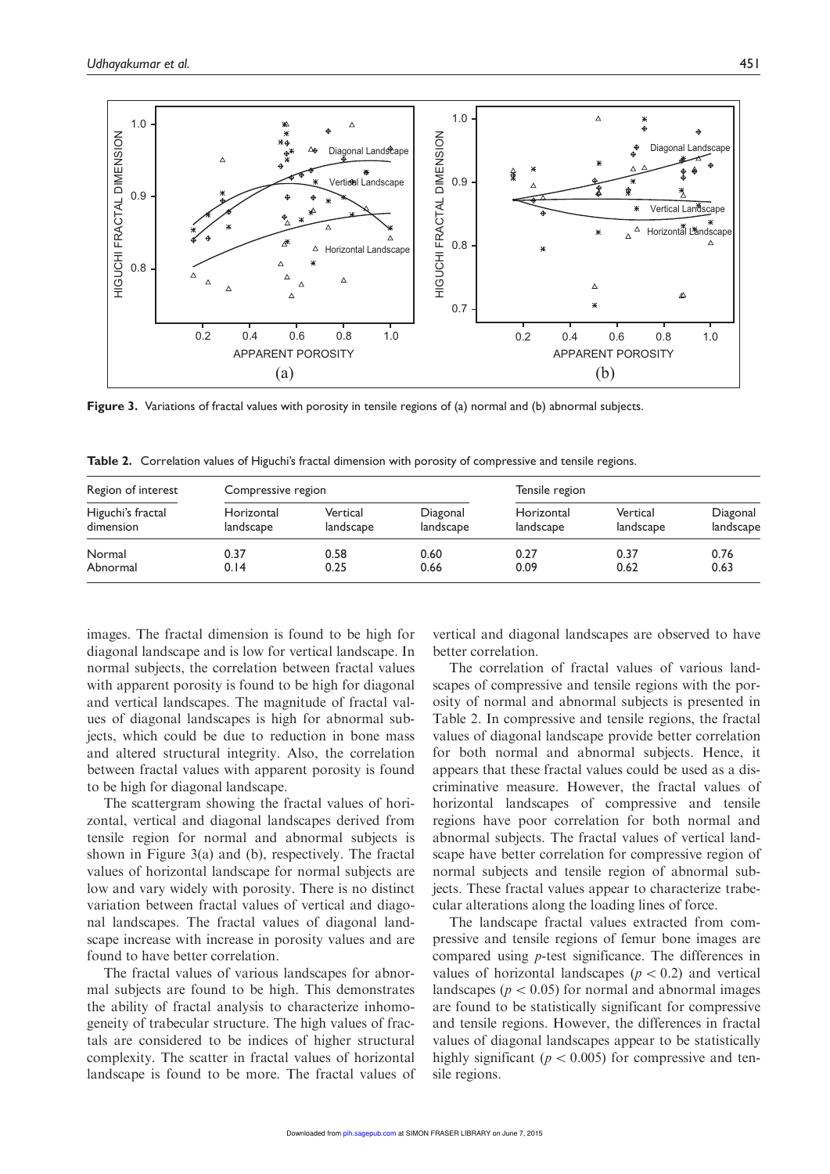

Figure 3. Variations of fractal values with porosity in tensile regions of (a) normal and (b) abnormal subjects.

| Region of interest | Compressive region |           |           | Tensile region |           |           |  |
|--------------------|--------------------|-----------|-----------|----------------|-----------|-----------|--|
| Higuchi's fractal  | Horizontal         | Vertical  | Diagonal  | Horizontal     | Vertical  | Diagonal  |  |
| dimension          | landscape          | landscape | landscape | landscape      | landscape | landscape |  |
| Normal             | 0.37               | 0.58      | 0.60      | 0.27           | 0.37      | 0.76      |  |
| Abnormal           | 0.14               | 0.25      | 0.66      | 0.09           | 0.62      | 0.63      |  |

Table 2. Correlation values of Higuchi's fractal dimension with porosity of compressive and tensile regions.

images. The fractal dimension is found to be high for diagonal landscape and is low for vertical landscape. In normal subjects, the correlation between fractal values with apparent porosity is found to be high for diagonal and vertical landscapes. The magnitude of fractal values of diagonal landscapes is high for abnormal subjects, which could be due to reduction in bone mass and altered structural integrity. Also, the correlation between fractal values with apparent porosity is found to be high for diagonal landscape.

The scattergram showing the fractal values of horizontal, vertical and diagonal landscapes derived from tensile region for normal and abnormal subjects is shown in Figure 3(a) and (b), respectively. The fractal values of horizontal landscape for normal subjects are low and vary widely with porosity. There is no distinct variation between fractal values of vertical and diagonal landscapes. The fractal values of diagonal landscape increase with increase in porosity values and are found to have better correlation.

The fractal values of various landscapes for abnormal subjects are found to be high. This demonstrates the ability of fractal analysis to characterize inhomogeneity of trabecular structure. The high values of fractals are considered to be indices of higher structural complexity. The scatter in fractal values of horizontal landscape is found to be more. The fractal values of vertical and diagonal landscapes are observed to have better correlation.

The correlation of fractal values of various landscapes of compressive and tensile regions with the porosity of normal and abnormal subjects is presented in Table 2. In compressive and tensile regions, the fractal values of diagonal landscape provide better correlation for both normal and abnormal subjects. Hence, it appears that these fractal values could be used as a discriminative measure. However, the fractal values of horizontal landscapes of compressive and tensile regions have poor correlation for both normal and abnormal subjects. The fractal values of vertical landscape have better correlation for compressive region of normal subjects and tensile region of abnormal subjects. These fractal values appear to characterize trabecular alterations along the loading lines of force.

The landscape fractal values extracted from compressive and tensile regions of femur bone images are compared using p-test significance. The differences in values of horizontal landscapes ( $p < 0.2$ ) and vertical landscapes ( $p < 0.05$ ) for normal and abnormal images are found to be statistically significant for compressive and tensile regions. However, the differences in fractal values of diagonal landscapes appear to be statistically highly significant ( $p < 0.005$ ) for compressive and tensile regions.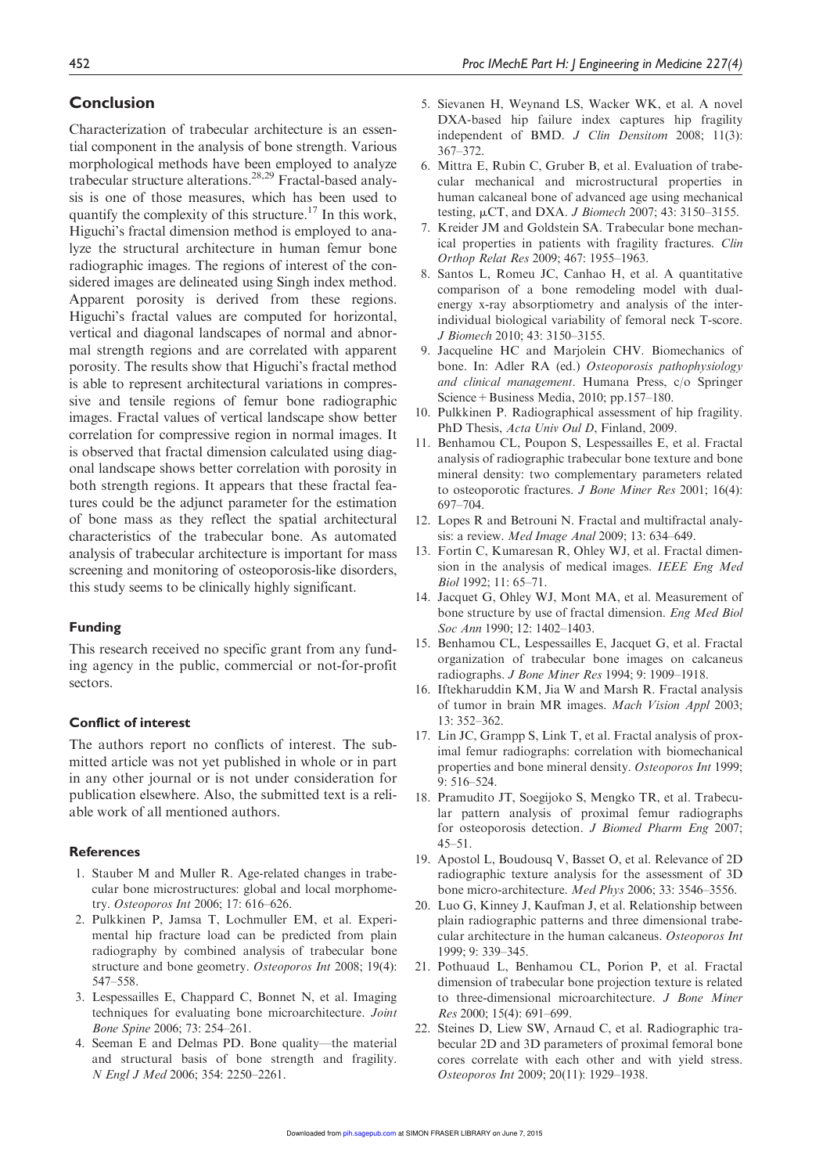#### Conclusion

Characterization of trabecular architecture is an essential component in the analysis of bone strength. Various morphological methods have been employed to analyze trabecular structure alterations.<sup>28,29</sup> Fractal-based analysis is one of those measures, which has been used to quantify the complexity of this structure.<sup>17</sup> In this work, Higuchi's fractal dimension method is employed to analyze the structural architecture in human femur bone radiographic images. The regions of interest of the considered images are delineated using Singh index method. Apparent porosity is derived from these regions. Higuchi's fractal values are computed for horizontal, vertical and diagonal landscapes of normal and abnormal strength regions and are correlated with apparent porosity. The results show that Higuchi's fractal method is able to represent architectural variations in compressive and tensile regions of femur bone radiographic images. Fractal values of vertical landscape show better correlation for compressive region in normal images. It is observed that fractal dimension calculated using diagonal landscape shows better correlation with porosity in both strength regions. It appears that these fractal features could be the adjunct parameter for the estimation of bone mass as they reflect the spatial architectural characteristics of the trabecular bone. As automated analysis of trabecular architecture is important for mass screening and monitoring of osteoporosis-like disorders, this study seems to be clinically highly significant.

#### Funding

This research received no specific grant from any funding agency in the public, commercial or not-for-profit sectors.

#### Conflict of interest

The authors report no conflicts of interest. The submitted article was not yet published in whole or in part in any other journal or is not under consideration for publication elsewhere. Also, the submitted text is a reliable work of all mentioned authors.

#### References

- 1. Stauber M and Muller R. Age-related changes in trabecular bone microstructures: global and local morphometry. Osteoporos Int 2006; 17: 616–626.
- 2. Pulkkinen P, Jamsa T, Lochmuller EM, et al. Experimental hip fracture load can be predicted from plain radiography by combined analysis of trabecular bone structure and bone geometry. Osteoporos Int 2008; 19(4): 547–558.
- 3. Lespessailles E, Chappard C, Bonnet N, et al. Imaging techniques for evaluating bone microarchitecture. Joint Bone Spine 2006; 73: 254–261.
- 4. Seeman E and Delmas PD. Bone quality—the material and structural basis of bone strength and fragility. N Engl J Med 2006; 354: 2250–2261.
- 5. Sievanen H, Weynand LS, Wacker WK, et al. A novel DXA-based hip failure index captures hip fragility independent of BMD. J Clin Densitom 2008; 11(3): 367–372.
- 6. Mittra E, Rubin C, Gruber B, et al. Evaluation of trabecular mechanical and microstructural properties in human calcaneal bone of advanced age using mechanical testing,  $\mu$ CT, and DXA. *J Biomech* 2007; 43: 3150–3155.
- 7. Kreider JM and Goldstein SA. Trabecular bone mechanical properties in patients with fragility fractures. Clin Orthop Relat Res 2009; 467: 1955–1963.
- 8. Santos L, Romeu JC, Canhao H, et al. A quantitative comparison of a bone remodeling model with dualenergy x-ray absorptiometry and analysis of the interindividual biological variability of femoral neck T-score. J Biomech 2010; 43: 3150–3155.
- 9. Jacqueline HC and Marjolein CHV. Biomechanics of bone. In: Adler RA (ed.) Osteoporosis pathophysiology and clinical management. Humana Press, c/o Springer Science+Business Media, 2010; pp.157–180.
- 10. Pulkkinen P. Radiographical assessment of hip fragility. PhD Thesis, Acta Univ Oul D, Finland, 2009.
- 11. Benhamou CL, Poupon S, Lespessailles E, et al. Fractal analysis of radiographic trabecular bone texture and bone mineral density: two complementary parameters related to osteoporotic fractures. J Bone Miner Res 2001; 16(4): 697–704.
- 12. Lopes R and Betrouni N. Fractal and multifractal analysis: a review. Med Image Anal 2009; 13: 634–649.
- 13. Fortin C, Kumaresan R, Ohley WJ, et al. Fractal dimension in the analysis of medical images. IEEE Eng Med Biol 1992; 11: 65–71.
- 14. Jacquet G, Ohley WJ, Mont MA, et al. Measurement of bone structure by use of fractal dimension. Eng Med Biol Soc Ann 1990; 12: 1402–1403.
- 15. Benhamou CL, Lespessailles E, Jacquet G, et al. Fractal organization of trabecular bone images on calcaneus radiographs. J Bone Miner Res 1994; 9: 1909–1918.
- 16. Iftekharuddin KM, Jia W and Marsh R. Fractal analysis of tumor in brain MR images. Mach Vision Appl 2003; 13: 352–362.
- 17. Lin JC, Grampp S, Link T, et al. Fractal analysis of proximal femur radiographs: correlation with biomechanical properties and bone mineral density. Osteoporos Int 1999; 9: 516–524.
- 18. Pramudito JT, Soegijoko S, Mengko TR, et al. Trabecular pattern analysis of proximal femur radiographs for osteoporosis detection. J Biomed Pharm Eng 2007; 45–51.
- 19. Apostol L, Boudousq V, Basset O, et al. Relevance of 2D radiographic texture analysis for the assessment of 3D bone micro-architecture. Med Phys 2006; 33: 3546–3556.
- 20. Luo G, Kinney J, Kaufman J, et al. Relationship between plain radiographic patterns and three dimensional trabecular architecture in the human calcaneus. Osteoporos Int 1999; 9: 339–345.
- 21. Pothuaud L, Benhamou CL, Porion P, et al. Fractal dimension of trabecular bone projection texture is related to three-dimensional microarchitecture. J Bone Miner Res 2000; 15(4): 691–699.
- 22. Steines D, Liew SW, Arnaud C, et al. Radiographic trabecular 2D and 3D parameters of proximal femoral bone cores correlate with each other and with yield stress. Osteoporos Int 2009; 20(11): 1929–1938.